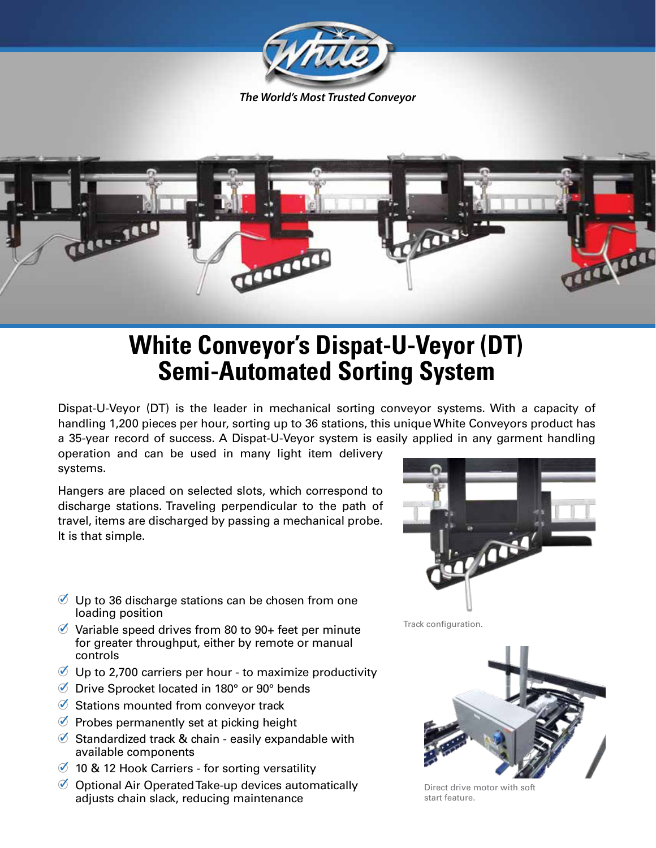



## **White Conveyor's Dispat-U-Veyor (DT) Semi-Automated Sorting System**

Dispat-U-Veyor (DT) is the leader in mechanical sorting conveyor systems. With a capacity of handling 1,200 pieces per hour, sorting up to 36 stations, this unique White Conveyors product has a 35-year record of success. A Dispat-U-Veyor system is easily applied in any garment handling

operation and can be used in many light item delivery systems.

Hangers are placed on selected slots, which correspond to discharge stations. Traveling perpendicular to the path of travel, items are discharged by passing a mechanical probe. It is that simple.

## $\mathcal O$  Up to 36 discharge stations can be chosen from one loading position

- $\%$  Variable speed drives from 80 to 90+ feet per minute for greater throughput, either by remote or manual controls
- $\mathcal O$  Up to 2,700 carriers per hour to maximize productivity
- Drive Sprocket located in 180° or 90° bends
- $\bullet$  Stations mounted from conveyor track
- $\oslash$  Probes permanently set at picking height
- $\%$  Standardized track & chain easily expandable with available components
- $\%$  10 & 12 Hook Carriers for sorting versatility
- $\oslash$  Optional Air Operated Take-up devices automatically adjusts chain slack, reducing maintenance



Track configuration.



Direct drive motor with soft start feature.